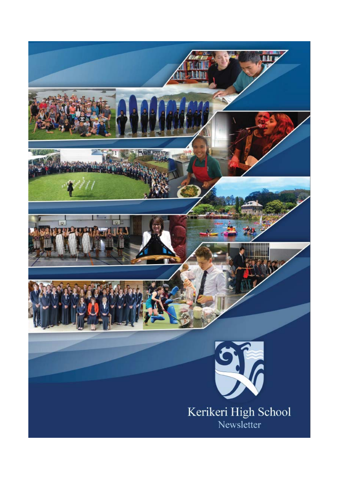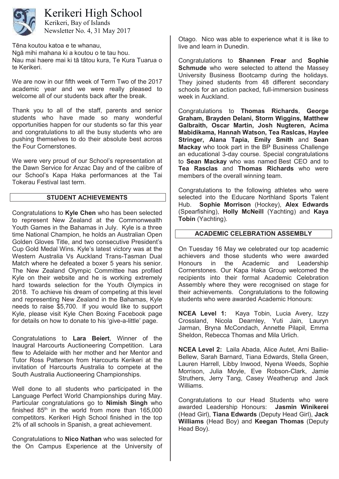

# Kerikeri High School

Newsletter No. 4, 31 May 2017 Kerikeri, Bay of Islands

Tēna koutou katoa e te whanau,

Ngā mihi mahana ki a koutou o te tau hou. Nau mai haere mai ki tā tātou kura, Te Kura Tuarua o te Kerikeri.

We are now in our fifth week of Term Two of the 2017 academic year and we were really pleased to welcome all of our students back after the break.

Thank you to all of the staff, parents and senior students who have made so many wonderful opportunities happen for our students so far this year and congratulations to all the busy students who are pushing themselves to do their absolute best across the Four Cornerstones.

We were very proud of our School's representation at the Dawn Service for Anzac Day and of the calibre of our School's Kapa Haka performances at the Tai Tokerau Festival last term.

## **STUDENT ACHIEVEMENTS**

Congratulations to **Kyle Chen** who has been selected to represent New Zealand at the Commonwealth Youth Games in the Bahamas in July. Kyle is a three time National Champion, he holds an Australian Open Golden Gloves Title, and two consecutive President's Cup Gold Medal Wins. Kyle's latest victory was at the Western Australia Vs Auckland Trans-Tasman Dual Match where he defeated a boxer 5 years his senior. The New Zealand Olympic Committee has profiled Kyle on their website and he is working extremely hard towards selection for the Youth Olympics in 2018. To achieve his dream of competing at this level and representing New Zealand in the Bahamas, Kyle needs to raise \$5,700. If you would like to support Kyle, please visit Kyle Chen Boxing Facebook page for details on how to donate to his 'give-a-little' page.

Congratulations to **Lara Beiert**, Winner of the Inaugral Harcourts Auctioneering Competition. Lara flew to Adelaide with her mother and her Mentor and Tutor Ross Patterson from Harcourts Kerikeri at the invitation of Harcourts Australia to compete at the South Australia Auctioneering Championships.

Well done to all students who participated in the Language Perfect World Championships during May. Particular congratulations go to **Nimish Singh** who finished  $85<sup>th</sup>$  in the world from more than  $165,000$ competitors. Kerikeri High School finished in the top 2% of all schools in Spanish, a great achievement.

Congratulations to **Nico Nathan** who was selected for the On Campus Experience at the University of Otago. Nico was able to experience what it is like to live and learn in Dunedin.

Congratulations to **Shannen Frear** and **Sophie Schmude** who were selected to attend the Massey University Business Bootcamp during the holidays. They joined students from 48 different secondary schools for an action packed, full-immersion business week in Auckland.

Congratulations to **Thomas Richards**, **George Graham, Brayden Delani, Storm Wiggins, Matthew Galbraith, Oscar Martin, Josh Nugteren, Acima Mabidikama, Hannah Watson, Tea Raslcas, Haylee Stringer, Alana Tapia, Emily Smith** and **Sean Mackay** who took part in the BP Business Challenge an educational 3-day course. Special congratulations to **Sean Mackay** who was named Best CEO and to **Tea Rasclas** and **Thomas Richards** who were members of the overall winning team.

Congratulations to the following athletes who were selected into the Educare Northland Sports Talent Hub. **Sophie Morrison** (Hockey), **Alex Edwards** (Spearfishing), **Holly McNeill** (Yachting) and **Kaya Tobin** (Yachting).

## **ACADEMIC CELEBRATION ASSEMBLY**

On Tuesday 16 May we celebrated our top academic achievers and those students who were awarded Honours in the Academic and Leadership Cornerstones. Our Kapa Haka Group welcomed the recipients into their formal Academic Celebration Assembly where they were recognised on stage for their achievements. Congratulations to the following students who were awarded Academic Honours:

**NCEA Level 1:** Kaya Tobin, Lucia Avery, Izzy Crossland, Nicola Dearnley, Yuti Jain, Lauryn Jarman, Bryna McCondach, Annette Pilapil, Emma Sheldon, Rebecca Thomas and Mila Urlich.

**NCEA Level 2:** Laila Abada, Alice Autet, Arni Bailie-Bellew, Sarah Barnard, Tiana Edwards, Stella Green, Lauren Harrell, Libby Inwood, Nyena Weeds, Sophie Morrison, Julia Moyle, Eve Robson-Clark, Jamie Struthers, Jerry Tang, Casey Weatherup and Jack Williams.

Congratulations to our Head Students who were awarded Leadership Honours: **Jasmin Winikerei** (Head Girl), **Tiana Edwards** (Deputy Head Girl), **Jack Williams** (Head Boy) and **Keegan Thomas** (Deputy Head Boy).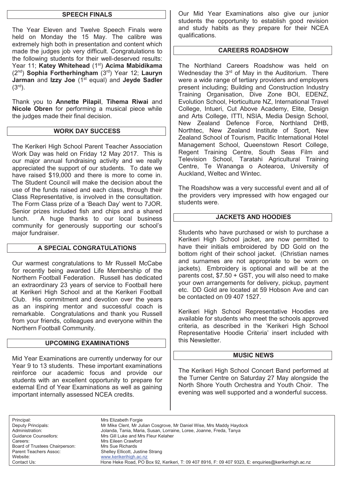## **SPEECH FINALS**

The Year Eleven and Twelve Speech Finals were held on Monday the 15 May. The calibre was extremely high both in presentation and content which made the judges job very difficult. Congratulations to the following students for their well-deserved results: Year 11; **Katey Whitehead** (1st) **Acima Mabidikama** (2nd) **Sophia Fortherhingham** (3rd) Year 12; **Lauryn Jarman** and **Izzy Joe** (1<sup>st</sup> equal) and **Jeyde Sadler**  $(3<sup>rd</sup>)$ .

Thank you to **Annette Pilapil**, **Tihema Riwai** and **Nicole Obren** for performing a musical piece while the judges made their final decision.

#### **WORK DAY SUCCESS**

The Kerikeri High School Parent Teacher Association Work Day was held on Friday 12 May 2017. This is our major annual fundraising activity and we really appreciated the support of our students. To date we have raised \$19,000 and there is more to come in. The Student Council will make the decision about the use of the funds raised and each class, through their Class Representative, is involved in the consultation. The Form Class prize of a 'Beach Day' went to 7JOR. Senior prizes included fish and chips and a shared lunch. A huge thanks to our local business community for generously supporting our school's major fundraiser.

## **A SPECIAL CONGRATULATIONS**

Our warmest congratulations to Mr Russell McCabe for recently being awarded Life Membership of the Northern Football Federation. Russell has dedicated an extraordinary 23 years of service to Football here at Kerikeri High School and at the Kerikeri Football Club. His commitment and devotion over the years as an inspiring mentor and successful coach is remarkable. Congratulations and thank you Russell from your friends, colleagues and everyone within the Northern Football Community.

## **UPCOMING EXAMINATIONS**

Mid Year Examinations are currently underway for our Year 9 to 13 students. These important examinations reinforce our academic focus and provide our students with an excellent opportunity to prepare for external End of Year Examinations as well as gaining important internally assessed NCEA credits.

Our Mid Year Examinations also give our junior students the opportunity to establish good revision and study habits as they prepare for their NCEA qualifications.

#### **CAREERS ROADSHOW**

The Northland Careers Roadshow was held on Wednesday the  $3<sup>rd</sup>$  of May in the Auditorium. There were a wide range of tertiary providers and employers present including; Building and Construction Industry Training Organisation, Dive Zone BOI, EDENZ, Evolution School, Horticulture NZ, International Travel College, Intueri, Cut Above Academy, Elite, Design and Arts College, ITTI, NSIA, Media Design School, New Zealand Defence Force, Northland DHB, Northtec, New Zealand Institute of Sport, New Zealand School of Tourism, Pacific International Hotel Management School, Queenstown Resort College, Regent Training Centre, South Seas Film and Television School, Taratahi Agricultural Training Centre, Te Wananga o Aotearoa, University of Auckland, Weltec and Wintec.

The Roadshow was a very successful event and all of the providers very impressed with how engaged our students were.

## **JACKETS AND HOODIES**

Students who have purchased or wish to purchase a Kerikeri High School jacket, are now permitted to have their initials embroidered by DD Gold on the bottom right of their school jacket. (Christian names and surnames are not appropriate to be worn on jackets). Embroidery is optional and will be at the parents cost, \$7.50 + GST, you will also need to make your own arrangements for delivery, pickup, payment etc. DD Gold are located at 59 Hobson Ave and can be contacted on 09 407 1527.

Kerikeri High School Representative Hoodies are available for students who meet the schools approved criteria, as described in the 'Kerikeri High School Representative Hoodie Criteria' insert included with this Newsletter.

#### **MUSIC NEWS**

The Kerikeri High School Concert Band performed at the Turner Centre on Saturday 27 May alongside the North Shore Youth Orchestra and Youth Choir. The evening was well supported and a wonderful success.

Principal: Mrs Elizabeth Forgie Careers: Mrs Eileen Crawford Board of Trustees Chairperson: Mrs Sue Richards

Deputy Principals: Mr Mike Clent, Mr Julian Cosgrove, Mr Daniel Wise, Mrs Maddy Haydock Administration: Jolanda, Tania, Maria, Susan, Lorraine, Loree, Joanne, Freda, Tanya Guidance Counsellors: Mrs Gill Luke and Mrs Fleur Kelaher Parent Teachers Assoc: Shelley Ellicott, Justine Strang<br>Website: Website: Website: Www.kerikerihigh.ac.nz www.kerikerihigh.ac.nz Contact Us:Hone Heke Road, PO Box 92, Kerikeri, T: 09 407 8916, F: 09 407 9323, E: enquiries@kerikerihigh.ac.nz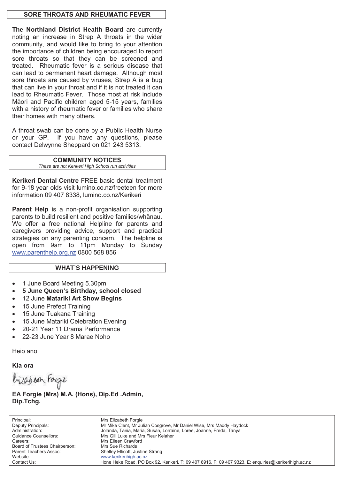## **SORE THROATS AND RHEUMATIC FEVER**

**The Northland District Health Board** are currently noting an increase in Strep A throats in the wider community, and would like to bring to your attention the importance of children being encouraged to report sore throats so that they can be screened and treated. Rheumatic fever is a serious disease that can lead to permanent heart damage. Although most sore throats are caused by viruses, Strep A is a bug that can live in your throat and if it is not treated it can lead to Rheumatic Fever. Those most at risk include Māori and Pacific children aged 5-15 years, families with a history of rheumatic fever or families who share their homes with many others.

A throat swab can be done by a Public Health Nurse or your GP. If you have any questions, please contact Delwynne Sheppard on 021 243 5313.

#### **COMMUNITY NOTICES**

*These are not Kerikeri High School run activities* 

**Kerikeri Dental Centre** FREE basic dental treatment for 9-18 year olds visit lumino.co.nz/freeteen for more information 09 407 8338, lumino.co.nz/Kerikeri

Parent Help is a non-profit organisation supporting parents to build resilient and positive families/whãnau. We offer a free national Helpline for parents and caregivers providing advice, support and practical strategies on any parenting concern. The helpline is open from 9am to 11pm Monday to Sunday www.parenthelp.org.nz 0800 568 856

#### **WHAT'S HAPPENING**

- 1 June Board Meeting 5.30pm
- x **5 June Queen's Birthday, school closed**
- x 12 June **Matariki Art Show Begins**
- 15 June Prefect Training
- 15 June Tuakana Training
- 15 June Matariki Celebration Evening
- 20-21 Year 11 Drama Performance
- 22-23 June Year 8 Marae Noho

Heio ano.

**Kia ora** 

bijabean Forgie

**EA Forgie (Mrs) M.A. (Hons), Dip.Ed .Admin, Dip.Tchg.**

Principal: Mrs Elizabeth Forgie Deputy Principals: Mr Mike Clent, Mr Julian Cosgrove, Mr Daniel Wise, Mrs Maddy Haydock Administration: Jolanda, Tania, Maria, Susan, Lorraine, Loree, Joanne, Freda, Tanya Guidance Counsellors: Mrs Gill Luke and Mrs Fleur Kelaher Careers: Mrs Eileen Crawford Board of Trustees Chairperson: Mrs Sue Richards Parent Teachers Assoc: Shelley Ellicott, Justine Strang<br>Website: Website: Website: Www.kerikerihigh.ac.nz www.kerikerihigh.ac.nz Contact Us:Hone Heke Road, PO Box 92, Kerikeri, T: 09 407 8916, F: 09 407 9323, E: enquiries@kerikerihigh.ac.nz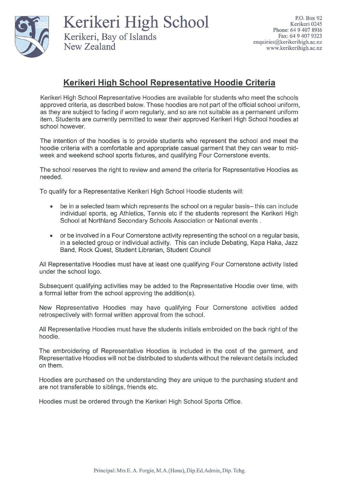

Kerikeri High School Kerikeri, Bay of Islands New Zealand

## Kerikeri High School Representative Hoodie Criteria

Kerikeri High School Representative Hoodies are available for students who meet the schools approved criteria, as described below. These hoodies are not part of the official school uniform, as they are subject to fading if worn regularly, and so are not suitable as a permanent uniform item. Students are currently permitted to wear their approved Kerikeri High School hoodies at school however.

The intention of the hoodies is to provide students who represent the school and meet the hoodie criteria with a comfortable and appropriate casual garment that they can wear to midweek and weekend school sports fixtures, and qualifying Four Cornerstone events.

The school reserves the right to review and amend the criteria for Representative Hoodies as needed.

To qualify for a Representative Kerikeri High School Hoodie students will:

- be in a selected team which represents the school on a regular basis- this can include  $\bullet$ individual sports, eg Athletics, Tennis etc if the students represent the Kerikeri High School at Northland Secondary Schools Association or National events.
- or be involved in a Four Cornerstone activity representing the school on a regular basis, in a selected group or individual activity. This can include Debating, Kapa Haka, Jazz Band, Rock Quest, Student Librarian, Student Council

All Representative Hoodies must have at least one qualifying Four Cornerstone activity listed under the school logo.

Subsequent qualifying activities may be added to the Representative Hoodie over time, with a formal letter from the school approving the addition(s).

New Representative Hoodies may have qualifying Four Cornerstone activities added retrospectively with formal written approval from the school.

All Representative Hoodies must have the students initials embroided on the back right of the hoodie.

The embroidering of Representative Hoodies is included in the cost of the garment, and Representative Hoodies will not be distributed to students without the relevant details included on them.

Hoodies are purchased on the understanding they are unique to the purchasing student and are not transferable to siblings, friends etc.

Hoodies must be ordered through the Kerikeri High School Sports Office.